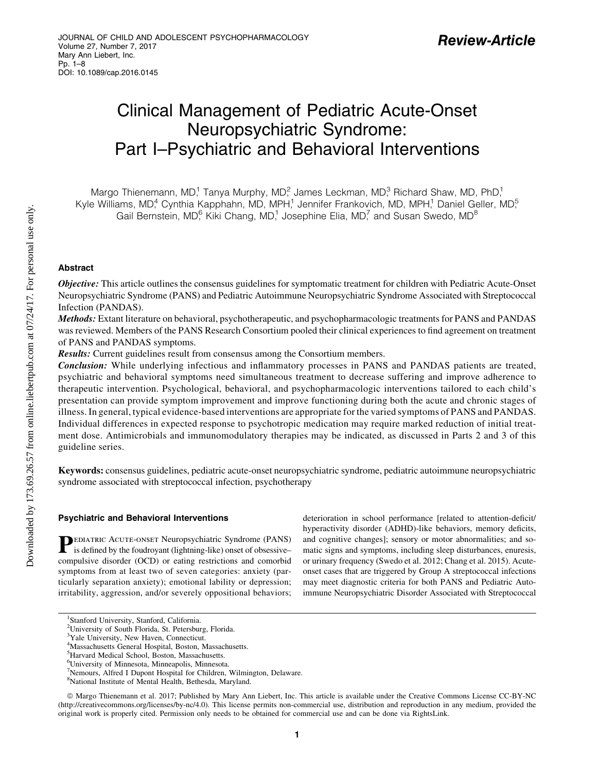# Clinical Management of Pediatric Acute-Onset Neuropsychiatric Syndrome: Part I–Psychiatric and Behavioral Interventions

Margo Thienemann, MD,<sup>1</sup> Tanya Murphy, MD,<sup>2</sup> James Leckman, MD,<sup>3</sup> Richard Shaw, MD, PhD,<sup>1</sup> Kyle Williams, MD,<sup>4</sup> Cynthia Kapphahn, MD, MPH,<sup>1</sup> Jennifer Frankovich, MD, MPH,<sup>1</sup> Daniel Geller, MD,<sup>5</sup> Gail Bernstein, MD,<sup>6</sup> Kiki Chang, MD,<sup>1</sup> Josephine Elia, MD,<sup>7</sup> and Susan Swedo, MD<sup>8</sup>

# Abstract

**Objective:** This article outlines the consensus guidelines for symptomatic treatment for children with Pediatric Acute-Onset Neuropsychiatric Syndrome (PANS) and Pediatric Autoimmune Neuropsychiatric Syndrome Associated with Streptococcal Infection (PANDAS).

Methods: Extant literature on behavioral, psychotherapeutic, and psychopharmacologic treatments for PANS and PANDAS was reviewed. Members of the PANS Research Consortium pooled their clinical experiences to find agreement on treatment of PANS and PANDAS symptoms.

Results: Current guidelines result from consensus among the Consortium members.

Conclusion: While underlying infectious and inflammatory processes in PANS and PANDAS patients are treated, psychiatric and behavioral symptoms need simultaneous treatment to decrease suffering and improve adherence to therapeutic intervention. Psychological, behavioral, and psychopharmacologic interventions tailored to each child's presentation can provide symptom improvement and improve functioning during both the acute and chronic stages of illness. In general, typical evidence-based interventions are appropriate for the varied symptoms of PANS and PANDAS. Individual differences in expected response to psychotropic medication may require marked reduction of initial treatment dose. Antimicrobials and immunomodulatory therapies may be indicated, as discussed in Parts 2 and 3 of this guideline series.

Keywords: consensus guidelines, pediatric acute-onset neuropsychiatric syndrome, pediatric autoimmune neuropsychiatric syndrome associated with streptococcal infection, psychotherapy

# Psychiatric and Behavioral Interventions

PEDIATRIC ACUTE-ONSET Neuropsychiatric Syndrome (PANS) is defined by the foudroyant (lightning-like) onset of obsessive– compulsive disorder (OCD) or eating restrictions and comorbid symptoms from at least two of seven categories: anxiety (particularly separation anxiety); emotional lability or depression; irritability, aggression, and/or severely oppositional behaviors; deterioration in school performance [related to attention-deficit/ hyperactivity disorder (ADHD)-like behaviors, memory deficits, and cognitive changes]; sensory or motor abnormalities; and somatic signs and symptoms, including sleep disturbances, enuresis, or urinary frequency (Swedo et al. 2012; Chang et al. 2015). Acuteonset cases that are triggered by Group A streptococcal infections may meet diagnostic criteria for both PANS and Pediatric Autoimmune Neuropsychiatric Disorder Associated with Streptococcal

ª Margo Thienemann et al. 2017; Published by Mary Ann Liebert, Inc. This article is available under the Creative Commons License CC-BY-NC (http://creativecommons.org/licenses/by-nc/4.0). This license permits non-commercial use, distribution and reproduction in any medium, provided the original work is properly cited. Permission only needs to be obtained for commercial use and can be done via RightsLink.

<sup>1</sup> Stanford University, Stanford, California.

<sup>2</sup> University of South Florida, St. Petersburg, Florida.

<sup>&</sup>lt;sup>3</sup>Yale University, New Haven, Connecticut.

<sup>4</sup> Massachusetts General Hospital, Boston, Massachusetts.

<sup>5</sup> Harvard Medical School, Boston, Massachusetts.

<sup>6</sup> University of Minnesota, Minneapolis, Minnesota.

<sup>&</sup>lt;sup>7</sup>Nemours, Alfred I Dupont Hospital for Children, Wilmington, Delaware.

<sup>8</sup> National Institute of Mental Health, Bethesda, Maryland.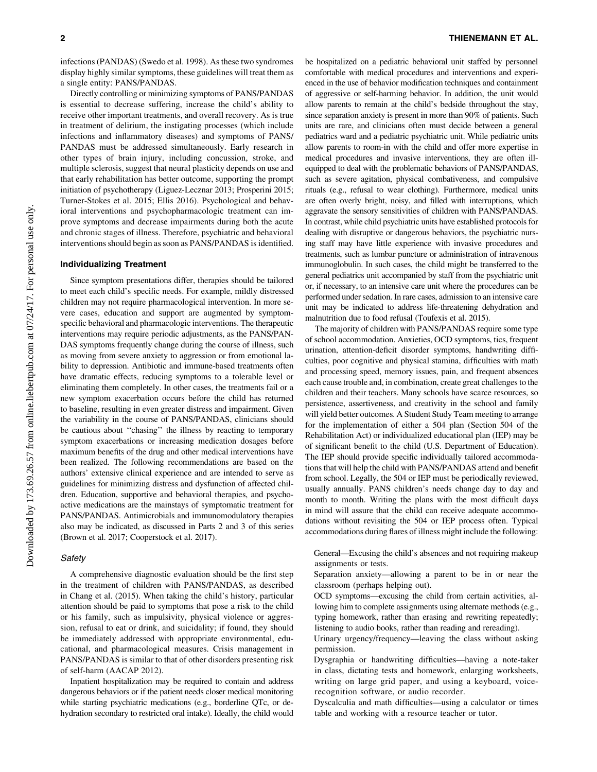infections (PANDAS) (Swedo et al. 1998). As these two syndromes display highly similar symptoms, these guidelines will treat them as a single entity: PANS/PANDAS.

Directly controlling or minimizing symptoms of PANS/PANDAS is essential to decrease suffering, increase the child's ability to receive other important treatments, and overall recovery. As is true in treatment of delirium, the instigating processes (which include infections and inflammatory diseases) and symptoms of PANS/ PANDAS must be addressed simultaneously. Early research in other types of brain injury, including concussion, stroke, and multiple sclerosis, suggest that neural plasticity depends on use and that early rehabilitation has better outcome, supporting the prompt initiation of psychotherapy (Liguez-Lecznar 2013; Prosperini 2015; Turner-Stokes et al. 2015; Ellis 2016). Psychological and behavioral interventions and psychopharmacologic treatment can improve symptoms and decrease impairments during both the acute and chronic stages of illness. Therefore, psychiatric and behavioral interventions should begin as soon as PANS/PANDAS is identified.

#### Individualizing Treatment

Since symptom presentations differ, therapies should be tailored to meet each child's specific needs. For example, mildly distressed children may not require pharmacological intervention. In more severe cases, education and support are augmented by symptomspecific behavioral and pharmacologic interventions. The therapeutic interventions may require periodic adjustments, as the PANS/PAN-DAS symptoms frequently change during the course of illness, such as moving from severe anxiety to aggression or from emotional lability to depression. Antibiotic and immune-based treatments often have dramatic effects, reducing symptoms to a tolerable level or eliminating them completely. In other cases, the treatments fail or a new symptom exacerbation occurs before the child has returned to baseline, resulting in even greater distress and impairment. Given the variability in the course of PANS/PANDAS, clinicians should be cautious about ''chasing'' the illness by reacting to temporary symptom exacerbations or increasing medication dosages before maximum benefits of the drug and other medical interventions have been realized. The following recommendations are based on the authors' extensive clinical experience and are intended to serve as guidelines for minimizing distress and dysfunction of affected children. Education, supportive and behavioral therapies, and psychoactive medications are the mainstays of symptomatic treatment for PANS/PANDAS. Antimicrobials and immunomodulatory therapies also may be indicated, as discussed in Parts 2 and 3 of this series (Brown et al. 2017; Cooperstock et al. 2017).

# **Safety**

A comprehensive diagnostic evaluation should be the first step in the treatment of children with PANS/PANDAS, as described in Chang et al. (2015). When taking the child's history, particular attention should be paid to symptoms that pose a risk to the child or his family, such as impulsivity, physical violence or aggression, refusal to eat or drink, and suicidality; if found, they should be immediately addressed with appropriate environmental, educational, and pharmacological measures. Crisis management in PANS/PANDAS is similar to that of other disorders presenting risk of self-harm (AACAP 2012).

Inpatient hospitalization may be required to contain and address dangerous behaviors or if the patient needs closer medical monitoring while starting psychiatric medications (e.g., borderline QTc, or dehydration secondary to restricted oral intake). Ideally, the child would be hospitalized on a pediatric behavioral unit staffed by personnel comfortable with medical procedures and interventions and experienced in the use of behavior modification techniques and containment of aggressive or self-harming behavior. In addition, the unit would allow parents to remain at the child's bedside throughout the stay, since separation anxiety is present in more than 90% of patients. Such units are rare, and clinicians often must decide between a general pediatrics ward and a pediatric psychiatric unit. While pediatric units allow parents to room-in with the child and offer more expertise in medical procedures and invasive interventions, they are often illequipped to deal with the problematic behaviors of PANS/PANDAS, such as severe agitation, physical combativeness, and compulsive rituals (e.g., refusal to wear clothing). Furthermore, medical units are often overly bright, noisy, and filled with interruptions, which aggravate the sensory sensitivities of children with PANS/PANDAS. In contrast, while child psychiatric units have established protocols for dealing with disruptive or dangerous behaviors, the psychiatric nursing staff may have little experience with invasive procedures and treatments, such as lumbar puncture or administration of intravenous immunoglobulin. In such cases, the child might be transferred to the general pediatrics unit accompanied by staff from the psychiatric unit or, if necessary, to an intensive care unit where the procedures can be performed under sedation. In rare cases, admission to an intensive care unit may be indicated to address life-threatening dehydration and malnutrition due to food refusal (Toufexis et al. 2015).

The majority of children with PANS/PANDAS require some type of school accommodation. Anxieties, OCD symptoms, tics, frequent urination, attention-deficit disorder symptoms, handwriting difficulties, poor cognitive and physical stamina, difficulties with math and processing speed, memory issues, pain, and frequent absences each cause trouble and, in combination, create great challenges to the children and their teachers. Many schools have scarce resources, so persistence, assertiveness, and creativity in the school and family will yield better outcomes. A Student Study Team meeting to arrange for the implementation of either a 504 plan (Section 504 of the Rehabilitation Act) or individualized educational plan (IEP) may be of significant benefit to the child (U.S. Department of Education). The IEP should provide specific individually tailored accommodations that will help the child with PANS/PANDAS attend and benefit from school. Legally, the 504 or IEP must be periodically reviewed, usually annually. PANS children's needs change day to day and month to month. Writing the plans with the most difficult days in mind will assure that the child can receive adequate accommodations without revisiting the 504 or IEP process often. Typical accommodations during flares of illness might include the following:

General—Excusing the child's absences and not requiring makeup assignments or tests.

Separation anxiety—allowing a parent to be in or near the classroom (perhaps helping out).

OCD symptoms—excusing the child from certain activities, allowing him to complete assignments using alternate methods (e.g., typing homework, rather than erasing and rewriting repeatedly; listening to audio books, rather than reading and rereading).

Urinary urgency/frequency—leaving the class without asking permission.

Dysgraphia or handwriting difficulties—having a note-taker in class, dictating tests and homework, enlarging worksheets, writing on large grid paper, and using a keyboard, voicerecognition software, or audio recorder.

Dyscalculia and math difficulties—using a calculator or times table and working with a resource teacher or tutor.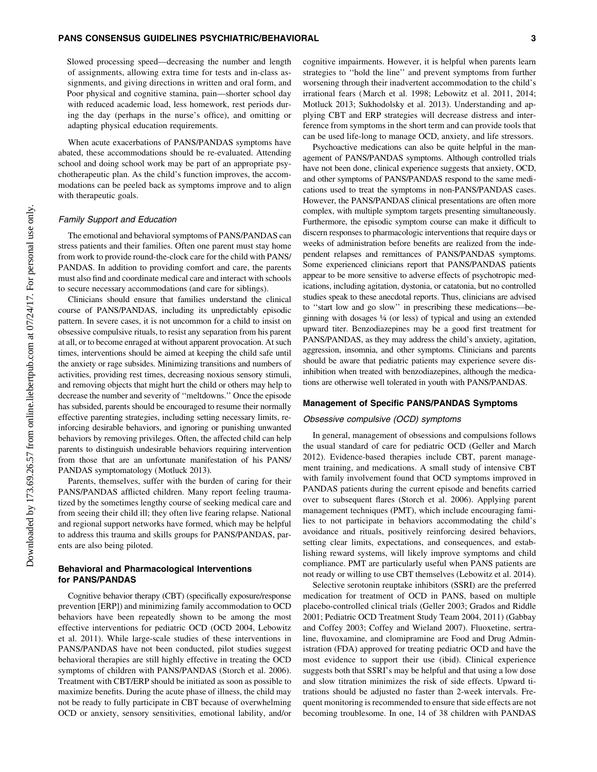Slowed processing speed—decreasing the number and length of assignments, allowing extra time for tests and in-class assignments, and giving directions in written and oral form, and Poor physical and cognitive stamina, pain—shorter school day with reduced academic load, less homework, rest periods during the day (perhaps in the nurse's office), and omitting or adapting physical education requirements.

When acute exacerbations of PANS/PANDAS symptoms have abated, these accommodations should be re-evaluated. Attending school and doing school work may be part of an appropriate psychotherapeutic plan. As the child's function improves, the accommodations can be peeled back as symptoms improve and to align with therapeutic goals.

## Family Support and Education

The emotional and behavioral symptoms of PANS/PANDAS can stress patients and their families. Often one parent must stay home from work to provide round-the-clock care for the child with PANS/ PANDAS. In addition to providing comfort and care, the parents must also find and coordinate medical care and interact with schools to secure necessary accommodations (and care for siblings).

Clinicians should ensure that families understand the clinical course of PANS/PANDAS, including its unpredictably episodic pattern. In severe cases, it is not uncommon for a child to insist on obsessive compulsive rituals, to resist any separation from his parent at all, or to become enraged at without apparent provocation. At such times, interventions should be aimed at keeping the child safe until the anxiety or rage subsides. Minimizing transitions and numbers of activities, providing rest times, decreasing noxious sensory stimuli, and removing objects that might hurt the child or others may help to decrease the number and severity of ''meltdowns.'' Once the episode has subsided, parents should be encouraged to resume their normally effective parenting strategies, including setting necessary limits, reinforcing desirable behaviors, and ignoring or punishing unwanted behaviors by removing privileges. Often, the affected child can help parents to distinguish undesirable behaviors requiring intervention from those that are an unfortunate manifestation of his PANS/ PANDAS symptomatology (Motluck 2013).

Parents, themselves, suffer with the burden of caring for their PANS/PANDAS afflicted children. Many report feeling traumatized by the sometimes lengthy course of seeking medical care and from seeing their child ill; they often live fearing relapse. National and regional support networks have formed, which may be helpful to address this trauma and skills groups for PANS/PANDAS, parents are also being piloted.

# Behavioral and Pharmacological Interventions for PANS/PANDAS

Cognitive behavior therapy (CBT) (specifically exposure/response prevention [ERP]) and minimizing family accommodation to OCD behaviors have been repeatedly shown to be among the most effective interventions for pediatric OCD (OCD 2004, Lebowitz et al. 2011). While large-scale studies of these interventions in PANS/PANDAS have not been conducted, pilot studies suggest behavioral therapies are still highly effective in treating the OCD symptoms of children with PANS/PANDAS (Storch et al. 2006). Treatment with CBT/ERP should be initiated as soon as possible to maximize benefits. During the acute phase of illness, the child may not be ready to fully participate in CBT because of overwhelming OCD or anxiety, sensory sensitivities, emotional lability, and/or

cognitive impairments. However, it is helpful when parents learn strategies to ''hold the line'' and prevent symptoms from further worsening through their inadvertent accommodation to the child's irrational fears (March et al. 1998; Lebowitz et al. 2011, 2014; Motluck 2013; Sukhodolsky et al. 2013). Understanding and applying CBT and ERP strategies will decrease distress and interference from symptoms in the short term and can provide tools that can be used life-long to manage OCD, anxiety, and life stressors.

Psychoactive medications can also be quite helpful in the management of PANS/PANDAS symptoms. Although controlled trials have not been done, clinical experience suggests that anxiety, OCD, and other symptoms of PANS/PANDAS respond to the same medications used to treat the symptoms in non-PANS/PANDAS cases. However, the PANS/PANDAS clinical presentations are often more complex, with multiple symptom targets presenting simultaneously. Furthermore, the episodic symptom course can make it difficult to discern responses to pharmacologic interventions that require days or weeks of administration before benefits are realized from the independent relapses and remittances of PANS/PANDAS symptoms. Some experienced clinicians report that PANS/PANDAS patients appear to be more sensitive to adverse effects of psychotropic medications, including agitation, dystonia, or catatonia, but no controlled studies speak to these anecdotal reports. Thus, clinicians are advised to ''start low and go slow'' in prescribing these medications—beginning with dosages ¼ (or less) of typical and using an extended upward titer. Benzodiazepines may be a good first treatment for PANS/PANDAS, as they may address the child's anxiety, agitation, aggression, insomnia, and other symptoms. Clinicians and parents should be aware that pediatric patients may experience severe disinhibition when treated with benzodiazepines, although the medications are otherwise well tolerated in youth with PANS/PANDAS.

# Management of Specific PANS/PANDAS Symptoms

# Obsessive compulsive (OCD) symptoms

In general, management of obsessions and compulsions follows the usual standard of care for pediatric OCD (Geller and March 2012). Evidence-based therapies include CBT, parent management training, and medications. A small study of intensive CBT with family involvement found that OCD symptoms improved in PANDAS patients during the current episode and benefits carried over to subsequent flares (Storch et al. 2006). Applying parent management techniques (PMT), which include encouraging families to not participate in behaviors accommodating the child's avoidance and rituals, positively reinforcing desired behaviors, setting clear limits, expectations, and consequences, and establishing reward systems, will likely improve symptoms and child compliance. PMT are particularly useful when PANS patients are not ready or willing to use CBT themselves (Lebowitz et al. 2014).

Selective serotonin reuptake inhibitors (SSRI) are the preferred medication for treatment of OCD in PANS, based on multiple placebo-controlled clinical trials (Geller 2003; Grados and Riddle 2001; Pediatric OCD Treatment Study Team 2004, 2011) (Gabbay and Coffey 2003; Coffey and Wieland 2007). Fluoxetine, sertraline, fluvoxamine, and clomipramine are Food and Drug Administration (FDA) approved for treating pediatric OCD and have the most evidence to support their use (ibid). Clinical experience suggests both that SSRI's may be helpful and that using a low dose and slow titration minimizes the risk of side effects. Upward titrations should be adjusted no faster than 2-week intervals. Frequent monitoring is recommended to ensure that side effects are not becoming troublesome. In one, 14 of 38 children with PANDAS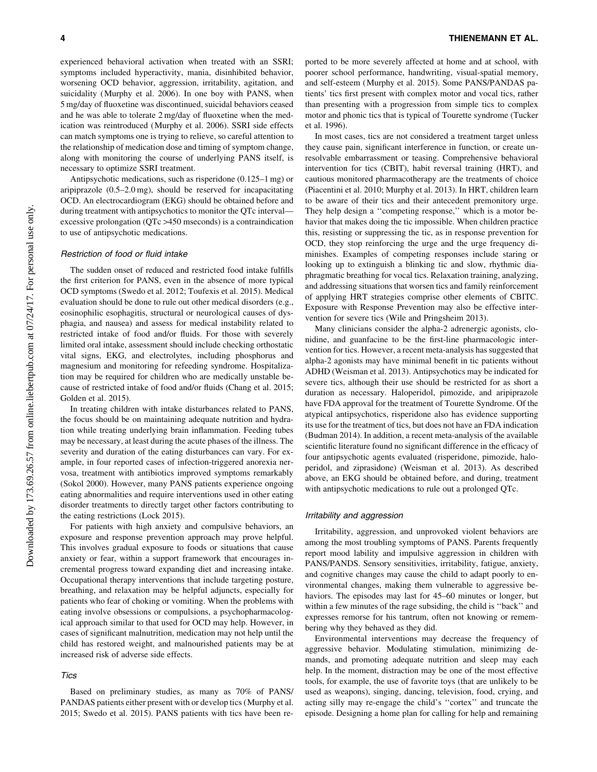experienced behavioral activation when treated with an SSRI; symptoms included hyperactivity, mania, disinhibited behavior, worsening OCD behavior, aggression, irritability, agitation, and suicidality (Murphy et al. 2006). In one boy with PANS, when 5 mg/day of fluoxetine was discontinued, suicidal behaviors ceased and he was able to tolerate 2 mg/day of fluoxetine when the medication was reintroduced (Murphy et al. 2006). SSRI side effects can match symptoms one is trying to relieve, so careful attention to the relationship of medication dose and timing of symptom change, along with monitoring the course of underlying PANS itself, is necessary to optimize SSRI treatment.

Antipsychotic medications, such as risperidone (0.125–1 mg) or aripiprazole (0.5–2.0 mg), should be reserved for incapacitating OCD. An electrocardiogram (EKG) should be obtained before and during treatment with antipsychotics to monitor the QTc interval excessive prolongation (QTc >450 mseconds) is a contraindication to use of antipsychotic medications.

#### Restriction of food or fluid intake

The sudden onset of reduced and restricted food intake fulfills the first criterion for PANS, even in the absence of more typical OCD symptoms (Swedo et al. 2012; Toufexis et al. 2015). Medical evaluation should be done to rule out other medical disorders (e.g., eosinophilic esophagitis, structural or neurological causes of dysphagia, and nausea) and assess for medical instability related to restricted intake of food and/or fluids. For those with severely limited oral intake, assessment should include checking orthostatic vital signs, EKG, and electrolytes, including phosphorus and magnesium and monitoring for refeeding syndrome. Hospitalization may be required for children who are medically unstable because of restricted intake of food and/or fluids (Chang et al. 2015; Golden et al. 2015).

In treating children with intake disturbances related to PANS, the focus should be on maintaining adequate nutrition and hydration while treating underlying brain inflammation. Feeding tubes may be necessary, at least during the acute phases of the illness. The severity and duration of the eating disturbances can vary. For example, in four reported cases of infection-triggered anorexia nervosa, treatment with antibiotics improved symptoms remarkably (Sokol 2000). However, many PANS patients experience ongoing eating abnormalities and require interventions used in other eating disorder treatments to directly target other factors contributing to the eating restrictions (Lock 2015).

For patients with high anxiety and compulsive behaviors, an exposure and response prevention approach may prove helpful. This involves gradual exposure to foods or situations that cause anxiety or fear, within a support framework that encourages incremental progress toward expanding diet and increasing intake. Occupational therapy interventions that include targeting posture, breathing, and relaxation may be helpful adjuncts, especially for patients who fear of choking or vomiting. When the problems with eating involve obsessions or compulsions, a psychopharmacological approach similar to that used for OCD may help. However, in cases of significant malnutrition, medication may not help until the child has restored weight, and malnourished patients may be at increased risk of adverse side effects.

## **Tics**

Based on preliminary studies, as many as 70% of PANS/ PANDAS patients either present with or develop tics (Murphy et al. 2015; Swedo et al. 2015). PANS patients with tics have been reported to be more severely affected at home and at school, with poorer school performance, handwriting, visual-spatial memory, and self-esteem (Murphy et al. 2015). Some PANS/PANDAS patients' tics first present with complex motor and vocal tics, rather than presenting with a progression from simple tics to complex motor and phonic tics that is typical of Tourette syndrome (Tucker et al. 1996).

In most cases, tics are not considered a treatment target unless they cause pain, significant interference in function, or create unresolvable embarrassment or teasing. Comprehensive behavioral intervention for tics (CBIT), habit reversal training (HRT), and cautious monitored pharmacotherapy are the treatments of choice (Piacentini et al. 2010; Murphy et al. 2013). In HRT, children learn to be aware of their tics and their antecedent premonitory urge. They help design a "competing response," which is a motor behavior that makes doing the tic impossible. When children practice this, resisting or suppressing the tic, as in response prevention for OCD, they stop reinforcing the urge and the urge frequency diminishes. Examples of competing responses include staring or looking up to extinguish a blinking tic and slow, rhythmic diaphragmatic breathing for vocal tics. Relaxation training, analyzing, and addressing situations that worsen tics and family reinforcement of applying HRT strategies comprise other elements of CBITC. Exposure with Response Prevention may also be effective intervention for severe tics (Wile and Pringsheim 2013).

Many clinicians consider the alpha-2 adrenergic agonists, clonidine, and guanfacine to be the first-line pharmacologic intervention for tics. However, a recent meta-analysis has suggested that alpha-2 agonists may have minimal benefit in tic patients without ADHD (Weisman et al. 2013). Antipsychotics may be indicated for severe tics, although their use should be restricted for as short a duration as necessary. Haloperidol, pimozide, and aripiprazole have FDA approval for the treatment of Tourette Syndrome. Of the atypical antipsychotics, risperidone also has evidence supporting its use for the treatment of tics, but does not have an FDA indication (Budman 2014). In addition, a recent meta-analysis of the available scientific literature found no significant difference in the efficacy of four antipsychotic agents evaluated (risperidone, pimozide, haloperidol, and ziprasidone) (Weisman et al. 2013). As described above, an EKG should be obtained before, and during, treatment with antipsychotic medications to rule out a prolonged QTc.

#### Irritability and aggression

Irritability, aggression, and unprovoked violent behaviors are among the most troubling symptoms of PANS. Parents frequently report mood lability and impulsive aggression in children with PANS/PANDS. Sensory sensitivities, irritability, fatigue, anxiety, and cognitive changes may cause the child to adapt poorly to environmental changes, making them vulnerable to aggressive behaviors. The episodes may last for 45–60 minutes or longer, but within a few minutes of the rage subsiding, the child is ''back'' and expresses remorse for his tantrum, often not knowing or remembering why they behaved as they did.

Environmental interventions may decrease the frequency of aggressive behavior. Modulating stimulation, minimizing demands, and promoting adequate nutrition and sleep may each help. In the moment, distraction may be one of the most effective tools, for example, the use of favorite toys (that are unlikely to be used as weapons), singing, dancing, television, food, crying, and acting silly may re-engage the child's ''cortex'' and truncate the episode. Designing a home plan for calling for help and remaining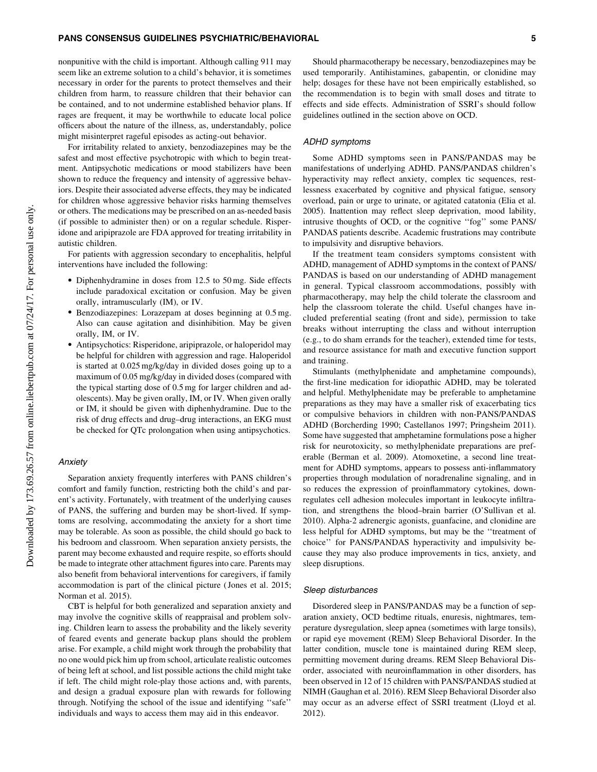nonpunitive with the child is important. Although calling 911 may seem like an extreme solution to a child's behavior, it is sometimes necessary in order for the parents to protect themselves and their children from harm, to reassure children that their behavior can be contained, and to not undermine established behavior plans. If rages are frequent, it may be worthwhile to educate local police officers about the nature of the illness, as, understandably, police might misinterpret rageful episodes as acting-out behavior.

For irritability related to anxiety, benzodiazepines may be the safest and most effective psychotropic with which to begin treatment. Antipsychotic medications or mood stabilizers have been shown to reduce the frequency and intensity of aggressive behaviors. Despite their associated adverse effects, they may be indicated for children whose aggressive behavior risks harming themselves or others. The medications may be prescribed on an as-needed basis (if possible to administer then) or on a regular schedule. Risperidone and aripiprazole are FDA approved for treating irritability in autistic children.

For patients with aggression secondary to encephalitis, helpful interventions have included the following:

- Diphenhydramine in doses from 12.5 to 50 mg. Side effects include paradoxical excitation or confusion. May be given orally, intramuscularly (IM), or IV.
- Benzodiazepines: Lorazepam at doses beginning at 0.5 mg. Also can cause agitation and disinhibition. May be given orally, IM, or IV.
- Antipsychotics: Risperidone, aripiprazole, or haloperidol may be helpful for children with aggression and rage. Haloperidol is started at 0.025 mg/kg/day in divided doses going up to a maximum of 0.05 mg/kg/day in divided doses (compared with the typical starting dose of 0.5 mg for larger children and adolescents). May be given orally, IM, or IV. When given orally or IM, it should be given with diphenhydramine. Due to the risk of drug effects and drug–drug interactions, an EKG must be checked for QTc prolongation when using antipsychotics.

## **Anxiety**

Separation anxiety frequently interferes with PANS children's comfort and family function, restricting both the child's and parent's activity. Fortunately, with treatment of the underlying causes of PANS, the suffering and burden may be short-lived. If symptoms are resolving, accommodating the anxiety for a short time may be tolerable. As soon as possible, the child should go back to his bedroom and classroom. When separation anxiety persists, the parent may become exhausted and require respite, so efforts should be made to integrate other attachment figures into care. Parents may also benefit from behavioral interventions for caregivers, if family accommodation is part of the clinical picture ( Jones et al. 2015; Norman et al. 2015).

CBT is helpful for both generalized and separation anxiety and may involve the cognitive skills of reappraisal and problem solving. Children learn to assess the probability and the likely severity of feared events and generate backup plans should the problem arise. For example, a child might work through the probability that no one would pick him up from school, articulate realistic outcomes of being left at school, and list possible actions the child might take if left. The child might role-play those actions and, with parents, and design a gradual exposure plan with rewards for following through. Notifying the school of the issue and identifying ''safe'' individuals and ways to access them may aid in this endeavor.

Should pharmacotherapy be necessary, benzodiazepines may be used temporarily. Antihistamines, gabapentin, or clonidine may help; dosages for these have not been empirically established, so the recommendation is to begin with small doses and titrate to effects and side effects. Administration of SSRI's should follow guidelines outlined in the section above on OCD.

#### ADHD symptoms

Some ADHD symptoms seen in PANS/PANDAS may be manifestations of underlying ADHD. PANS/PANDAS children's hyperactivity may reflect anxiety, complex tic sequences, restlessness exacerbated by cognitive and physical fatigue, sensory overload, pain or urge to urinate, or agitated catatonia (Elia et al. 2005). Inattention may reflect sleep deprivation, mood lability, intrusive thoughts of OCD, or the cognitive ''fog'' some PANS/ PANDAS patients describe. Academic frustrations may contribute to impulsivity and disruptive behaviors.

If the treatment team considers symptoms consistent with ADHD, management of ADHD symptoms in the context of PANS/ PANDAS is based on our understanding of ADHD management in general. Typical classroom accommodations, possibly with pharmacotherapy, may help the child tolerate the classroom and help the classroom tolerate the child. Useful changes have included preferential seating (front and side), permission to take breaks without interrupting the class and without interruption (e.g., to do sham errands for the teacher), extended time for tests, and resource assistance for math and executive function support and training.

Stimulants (methylphenidate and amphetamine compounds), the first-line medication for idiopathic ADHD, may be tolerated and helpful. Methylphenidate may be preferable to amphetamine preparations as they may have a smaller risk of exacerbating tics or compulsive behaviors in children with non-PANS/PANDAS ADHD (Borcherding 1990; Castellanos 1997; Pringsheim 2011). Some have suggested that amphetamine formulations pose a higher risk for neurotoxicity, so methylphenidate preparations are preferable (Berman et al. 2009). Atomoxetine, a second line treatment for ADHD symptoms, appears to possess anti-inflammatory properties through modulation of noradrenaline signaling, and in so reduces the expression of proinflammatory cytokines, downregulates cell adhesion molecules important in leukocyte infiltration, and strengthens the blood–brain barrier (O'Sullivan et al. 2010). Alpha-2 adrenergic agonists, guanfacine, and clonidine are less helpful for ADHD symptoms, but may be the ''treatment of choice'' for PANS/PANDAS hyperactivity and impulsivity because they may also produce improvements in tics, anxiety, and sleep disruptions.

#### Sleep disturbances

Disordered sleep in PANS/PANDAS may be a function of separation anxiety, OCD bedtime rituals, enuresis, nightmares, temperature dysregulation, sleep apnea (sometimes with large tonsils), or rapid eye movement (REM) Sleep Behavioral Disorder. In the latter condition, muscle tone is maintained during REM sleep, permitting movement during dreams. REM Sleep Behavioral Disorder, associated with neuroinflammation in other disorders, has been observed in 12 of 15 children with PANS/PANDAS studied at NIMH (Gaughan et al. 2016). REM Sleep Behavioral Disorder also may occur as an adverse effect of SSRI treatment (Lloyd et al. 2012).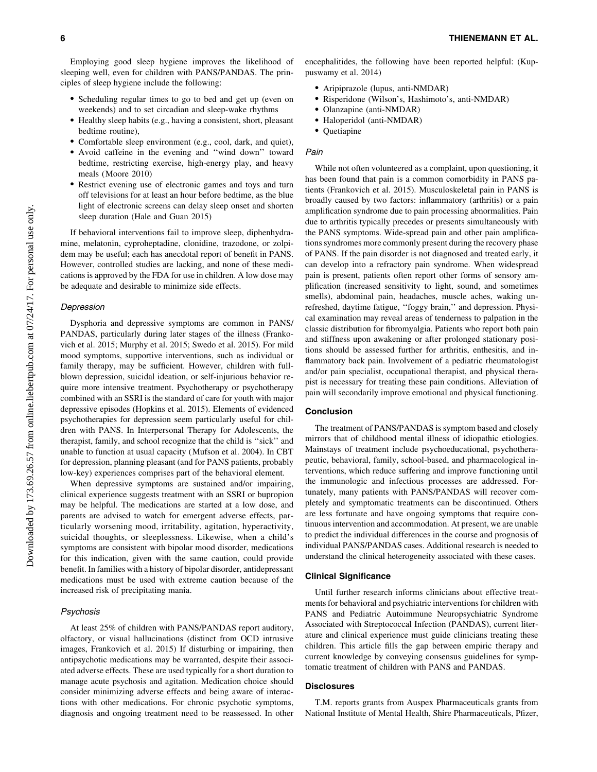- Scheduling regular times to go to bed and get up (even on weekends) and to set circadian and sleep-wake rhythms
- Healthy sleep habits (e.g., having a consistent, short, pleasant bedtime routine),
- Comfortable sleep environment (e.g., cool, dark, and quiet),
- Avoid caffeine in the evening and ''wind down'' toward bedtime, restricting exercise, high-energy play, and heavy meals (Moore 2010)
- Restrict evening use of electronic games and toys and turn off televisions for at least an hour before bedtime, as the blue light of electronic screens can delay sleep onset and shorten sleep duration (Hale and Guan 2015)

If behavioral interventions fail to improve sleep, diphenhydramine, melatonin, cyproheptadine, clonidine, trazodone, or zolpidem may be useful; each has anecdotal report of benefit in PANS. However, controlled studies are lacking, and none of these medications is approved by the FDA for use in children. A low dose may be adequate and desirable to minimize side effects.

#### Depression

Dysphoria and depressive symptoms are common in PANS/ PANDAS, particularly during later stages of the illness (Frankovich et al. 2015; Murphy et al. 2015; Swedo et al. 2015). For mild mood symptoms, supportive interventions, such as individual or family therapy, may be sufficient. However, children with fullblown depression, suicidal ideation, or self-injurious behavior require more intensive treatment. Psychotherapy or psychotherapy combined with an SSRI is the standard of care for youth with major depressive episodes (Hopkins et al. 2015). Elements of evidenced psychotherapies for depression seem particularly useful for children with PANS. In Interpersonal Therapy for Adolescents, the therapist, family, and school recognize that the child is ''sick'' and unable to function at usual capacity (Mufson et al. 2004). In CBT for depression, planning pleasant (and for PANS patients, probably low-key) experiences comprises part of the behavioral element.

When depressive symptoms are sustained and/or impairing, clinical experience suggests treatment with an SSRI or bupropion may be helpful. The medications are started at a low dose, and parents are advised to watch for emergent adverse effects, particularly worsening mood, irritability, agitation, hyperactivity, suicidal thoughts, or sleeplessness. Likewise, when a child's symptoms are consistent with bipolar mood disorder, medications for this indication, given with the same caution, could provide benefit. In families with a history of bipolar disorder, antidepressant medications must be used with extreme caution because of the increased risk of precipitating mania.

### Psychosis

At least 25% of children with PANS/PANDAS report auditory, olfactory, or visual hallucinations (distinct from OCD intrusive images, Frankovich et al. 2015) If disturbing or impairing, then antipsychotic medications may be warranted, despite their associated adverse effects. These are used typically for a short duration to manage acute psychosis and agitation. Medication choice should consider minimizing adverse effects and being aware of interactions with other medications. For chronic psychotic symptoms, diagnosis and ongoing treatment need to be reassessed. In other encephalitides, the following have been reported helpful: (Kuppuswamy et al. 2014)

- Aripiprazole (lupus, anti-NMDAR)
- Risperidone (Wilson's, Hashimoto's, anti-NMDAR)
- Olanzapine (anti-NMDAR)
- Haloperidol (anti-NMDAR)
- $\bullet$ **Ouetiapine**

#### Pain

While not often volunteered as a complaint, upon questioning, it has been found that pain is a common comorbidity in PANS patients (Frankovich et al. 2015). Musculoskeletal pain in PANS is broadly caused by two factors: inflammatory (arthritis) or a pain amplification syndrome due to pain processing abnormalities. Pain due to arthritis typically precedes or presents simultaneously with the PANS symptoms. Wide-spread pain and other pain amplifications syndromes more commonly present during the recovery phase of PANS. If the pain disorder is not diagnosed and treated early, it can develop into a refractory pain syndrome. When widespread pain is present, patients often report other forms of sensory amplification (increased sensitivity to light, sound, and sometimes smells), abdominal pain, headaches, muscle aches, waking unrefreshed, daytime fatigue, ''foggy brain,'' and depression. Physical examination may reveal areas of tenderness to palpation in the classic distribution for fibromyalgia. Patients who report both pain and stiffness upon awakening or after prolonged stationary positions should be assessed further for arthritis, enthesitis, and inflammatory back pain. Involvement of a pediatric rheumatologist and/or pain specialist, occupational therapist, and physical therapist is necessary for treating these pain conditions. Alleviation of pain will secondarily improve emotional and physical functioning.

# **Conclusion**

The treatment of PANS/PANDAS is symptom based and closely mirrors that of childhood mental illness of idiopathic etiologies. Mainstays of treatment include psychoeducational, psychotherapeutic, behavioral, family, school-based, and pharmacological interventions, which reduce suffering and improve functioning until the immunologic and infectious processes are addressed. Fortunately, many patients with PANS/PANDAS will recover completely and symptomatic treatments can be discontinued. Others are less fortunate and have ongoing symptoms that require continuous intervention and accommodation. At present, we are unable to predict the individual differences in the course and prognosis of individual PANS/PANDAS cases. Additional research is needed to understand the clinical heterogeneity associated with these cases.

### Clinical Significance

Until further research informs clinicians about effective treatments for behavioral and psychiatric interventions for children with PANS and Pediatric Autoimmune Neuropsychiatric Syndrome Associated with Streptococcal Infection (PANDAS), current literature and clinical experience must guide clinicians treating these children. This article fills the gap between empiric therapy and current knowledge by conveying consensus guidelines for symptomatic treatment of children with PANS and PANDAS.

## **Disclosures**

T.M. reports grants from Auspex Pharmaceuticals grants from National Institute of Mental Health, Shire Pharmaceuticals, Pfizer,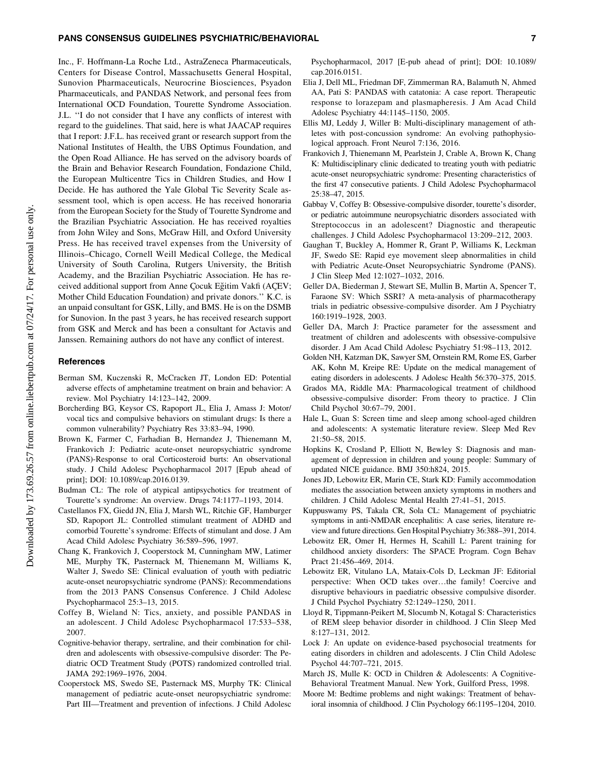## PANS CONSENSUS GUIDELINES PSYCHIATRIC/BEHAVIORAL 7

Inc., F. Hoffmann-La Roche Ltd., AstraZeneca Pharmaceuticals, Centers for Disease Control, Massachusetts General Hospital, Sunovion Pharmaceuticals, Neurocrine Biosciences, Psyadon Pharmaceuticals, and PANDAS Network, and personal fees from International OCD Foundation, Tourette Syndrome Association. J.L. ''I do not consider that I have any conflicts of interest with regard to the guidelines. That said, here is what JAACAP requires that I report: J.F.L. has received grant or research support from the National Institutes of Health, the UBS Optimus Foundation, and the Open Road Alliance. He has served on the advisory boards of the Brain and Behavior Research Foundation, Fondazione Child, the European Multicentre Tics in Children Studies, and How I Decide. He has authored the Yale Global Tic Severity Scale assessment tool, which is open access. He has received honoraria from the European Society for the Study of Tourette Syndrome and the Brazilian Psychiatric Association. He has received royalties from John Wiley and Sons, McGraw Hill, and Oxford University Press. He has received travel expenses from the University of Illinois–Chicago, Cornell Weill Medical College, the Medical University of South Carolina, Rutgers University, the British Academy, and the Brazilian Psychiatric Association. He has received additional support from Anne Cocuk Eğitim Vakfi (ACEV; Mother Child Education Foundation) and private donors.'' K.C. is an unpaid consultant for GSK, Lilly, and BMS. He is on the DSMB for Sunovion. In the past 3 years, he has received research support from GSK and Merck and has been a consultant for Actavis and Janssen. Remaining authors do not have any conflict of interest.

#### References

- Berman SM, Kuczenski R, McCracken JT, London ED: Potential adverse effects of amphetamine treatment on brain and behavior: A review. Mol Psychiatry 14:123–142, 2009.
- Borcherding BG, Keysor CS, Rapoport JL, Elia J, Amass J: Motor/ vocal tics and compulsive behaviors on stimulant drugs: Is there a common vulnerability? Psychiatry Res 33:83–94, 1990.
- Brown K, Farmer C, Farhadian B, Hernandez J, Thienemann M, Frankovich J: Pediatric acute-onset neuropsychiatric syndrome (PANS)-Response to oral Corticosteroid burts: An observational study. J Child Adolesc Psychopharmacol 2017 [Epub ahead of print]; DOI: 10.1089/cap.2016.0139.
- Budman CL: The role of atypical antipsychotics for treatment of Tourette's syndrome: An overview. Drugs 74:1177–1193, 2014.
- Castellanos FX, Giedd JN, Elia J, Marsh WL, Ritchie GF, Hamburger SD, Rapoport JL: Controlled stimulant treatment of ADHD and comorbid Tourette's syndrome: Effects of stimulant and dose. J Am Acad Child Adolesc Psychiatry 36:589–596, 1997.
- Chang K, Frankovich J, Cooperstock M, Cunningham MW, Latimer ME, Murphy TK, Pasternack M, Thienemann M, Williams K, Walter J, Swedo SE: Clinical evaluation of youth with pediatric acute-onset neuropsychiatric syndrome (PANS): Recommendations from the 2013 PANS Consensus Conference. J Child Adolesc Psychopharmacol 25:3–13, 2015.
- Coffey B, Wieland N: Tics, anxiety, and possible PANDAS in an adolescent. J Child Adolesc Psychopharmacol 17:533–538, 2007.
- Cognitive-behavior therapy, sertraline, and their combination for children and adolescents with obsessive-compulsive disorder: The Pediatric OCD Treatment Study (POTS) randomized controlled trial. JAMA 292:1969–1976, 2004.
- Cooperstock MS, Swedo SE, Pasternack MS, Murphy TK: Clinical management of pediatric acute-onset neuropsychiatric syndrome: Part III—Treatment and prevention of infections. J Child Adolesc

Psychopharmacol, 2017 [E-pub ahead of print]; DOI: 10.1089/ cap.2016.0151.

- Elia J, Dell ML, Friedman DF, Zimmerman RA, Balamuth N, Ahmed AA, Pati S: PANDAS with catatonia: A case report. Therapeutic response to lorazepam and plasmapheresis. J Am Acad Child Adolesc Psychiatry 44:1145–1150, 2005.
- Ellis MJ, Leddy J, Willer B: Multi-disciplinary management of athletes with post-concussion syndrome: An evolving pathophysiological approach. Front Neurol 7:136, 2016.
- Frankovich J, Thienemann M, Pearlstein J, Crable A, Brown K, Chang K: Multidisciplinary clinic dedicated to treating youth with pediatric acute-onset neuropsychiatric syndrome: Presenting characteristics of the first 47 consecutive patients. J Child Adolesc Psychopharmacol 25:38–47, 2015.
- Gabbay V, Coffey B: Obsessive-compulsive disorder, tourette's disorder, or pediatric autoimmune neuropsychiatric disorders associated with Streptococcus in an adolescent? Diagnostic and therapeutic challenges. J Child Adolesc Psychopharmacol 13:209–212, 2003.
- Gaughan T, Buckley A, Hommer R, Grant P, Williams K, Leckman JF, Swedo SE: Rapid eye movement sleep abnormalities in child with Pediatric Acute-Onset Neuropsychiatric Syndrome (PANS). J Clin Sleep Med 12:1027–1032, 2016.
- Geller DA, Biederman J, Stewart SE, Mullin B, Martin A, Spencer T, Faraone SV: Which SSRI? A meta-analysis of pharmacotherapy trials in pediatric obsessive-compulsive disorder. Am J Psychiatry 160:1919–1928, 2003.
- Geller DA, March J: Practice parameter for the assessment and treatment of children and adolescents with obsessive-compulsive disorder. J Am Acad Child Adolesc Psychiatry 51:98–113, 2012.
- Golden NH, Katzman DK, Sawyer SM, Ornstein RM, Rome ES, Garber AK, Kohn M, Kreipe RE: Update on the medical management of eating disorders in adolescents. J Adolesc Health 56:370–375, 2015.
- Grados MA, Riddle MA: Pharmacological treatment of childhood obsessive-compulsive disorder: From theory to practice. J Clin Child Psychol 30:67–79, 2001.
- Hale L, Guan S: Screen time and sleep among school-aged children and adolescents: A systematic literature review. Sleep Med Rev 21:50–58, 2015.
- Hopkins K, Crosland P, Elliott N, Bewley S: Diagnosis and management of depression in children and young people: Summary of updated NICE guidance. BMJ 350:h824, 2015.
- Jones JD, Lebowitz ER, Marin CE, Stark KD: Family accommodation mediates the association between anxiety symptoms in mothers and children. J Child Adolesc Mental Health 27:41–51, 2015.
- Kuppuswamy PS, Takala CR, Sola CL: Management of psychiatric symptoms in anti-NMDAR encephalitis: A case series, literature review and future directions. Gen Hospital Psychiatry 36:388–391, 2014.
- Lebowitz ER, Omer H, Hermes H, Scahill L: Parent training for childhood anxiety disorders: The SPACE Program. Cogn Behav Pract 21:456–469, 2014.
- Lebowitz ER, Vitulano LA, Mataix-Cols D, Leckman JF: Editorial perspective: When OCD takes over...the family! Coercive and disruptive behaviours in paediatric obsessive compulsive disorder. J Child Psychol Psychiatry 52:1249–1250, 2011.
- Lloyd R, Tippmann-Peikert M, Slocumb N, Kotagal S: Characteristics of REM sleep behavior disorder in childhood. J Clin Sleep Med 8:127–131, 2012.
- Lock J: An update on evidence-based psychosocial treatments for eating disorders in children and adolescents. J Clin Child Adolesc Psychol 44:707–721, 2015.
- March JS, Mulle K: OCD in Children & Adolescents: A Cognitive-Behavioral Treatment Manual. New York, Guilford Press, 1998.
- Moore M: Bedtime problems and night wakings: Treatment of behavioral insomnia of childhood. J Clin Psychology 66:1195–1204, 2010.